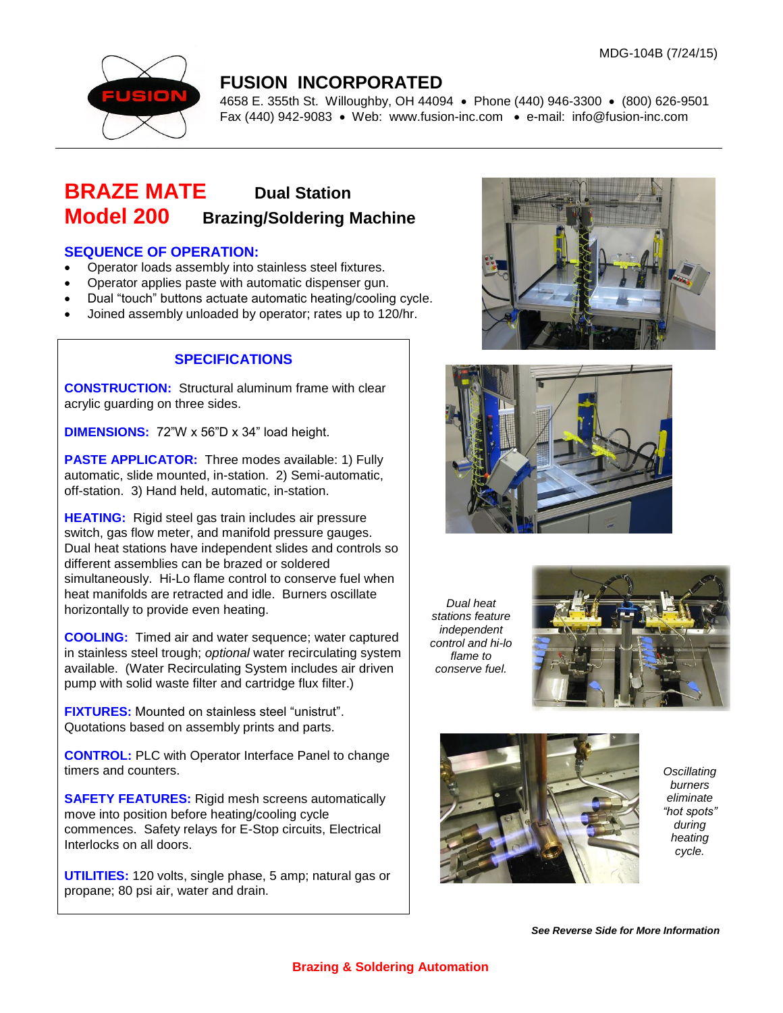

### **FUSION INCORPORATED**

4658 E. 355th St. Willoughby, OH 44094 Phone (440) 946-3300 (800) 626-9501 Fax (440) 942-9083 • Web: [www.fusion-inc.com](http://www.fusion-inc.com/) • e-mail: info@fusion-inc.com

## **BRAZE MATE Dual Station Model 200 Brazing/Soldering Machine**

#### **SEQUENCE OF OPERATION:**

- Operator loads assembly into stainless steel fixtures.
- Operator applies paste with automatic dispenser gun.
- Dual "touch" buttons actuate automatic heating/cooling cycle.
- Joined assembly unloaded by operator; rates up to 120/hr.

#### **SPECIFICATIONS**

**CONSTRUCTION:** Structural aluminum frame with clear acrylic guarding on three sides.

**DIMENSIONS:** 72"W x 56"D x 34" load height.

**PASTE APPLICATOR:** Three modes available: 1) Fully automatic, slide mounted, in-station. 2) Semi-automatic, off-station. 3) Hand held, automatic, in-station.

**HEATING:** Rigid steel gas train includes air pressure switch, gas flow meter, and manifold pressure gauges. Dual heat stations have independent slides and controls so different assemblies can be brazed or soldered simultaneously. Hi-Lo flame control to conserve fuel when heat manifolds are retracted and idle. Burners oscillate horizontally to provide even heating.

**COOLING:** Timed air and water sequence; water captured in stainless steel trough; *optional* water recirculating system available. (Water Recirculating System includes air driven pump with solid waste filter and cartridge flux filter.)

**FIXTURES:** Mounted on stainless steel "unistrut". Quotations based on assembly prints and parts.

**CONTROL:** PLC with Operator Interface Panel to change timers and counters.

**SAFETY FEATURES:** Rigid mesh screens automatically move into position before heating/cooling cycle commences. Safety relays for E-Stop circuits, Electrical Interlocks on all doors.

**UTILITIES:** 120 volts, single phase, 5 amp; natural gas or propane; 80 psi air, water and drain.





*Dual heat stations feature independent control and hi-lo flame to conserve fuel.*





*Oscillating burners eliminate "hot spots" during heating cycle.*

*See Reverse Side for More Information*